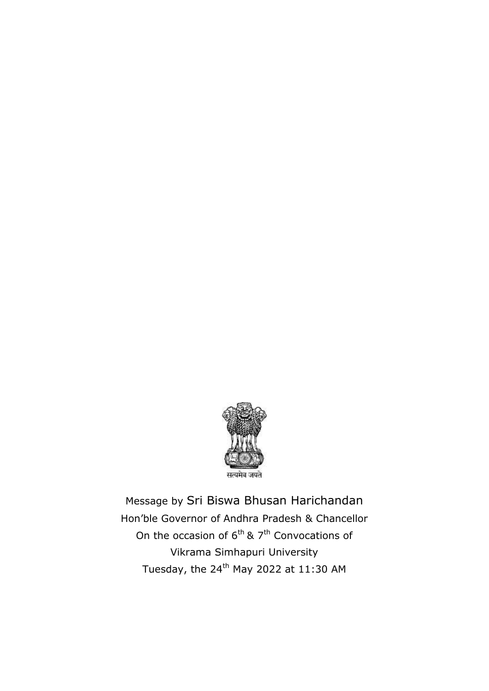

Message by Sri Biswa Bhusan Harichandan Hon'ble Governor of Andhra Pradesh & Chancellor On the occasion of  $6<sup>th</sup>$  & 7<sup>th</sup> Convocations of Vikrama Simhapuri University Tuesday, the  $24^{th}$  May 2022 at 11:30 AM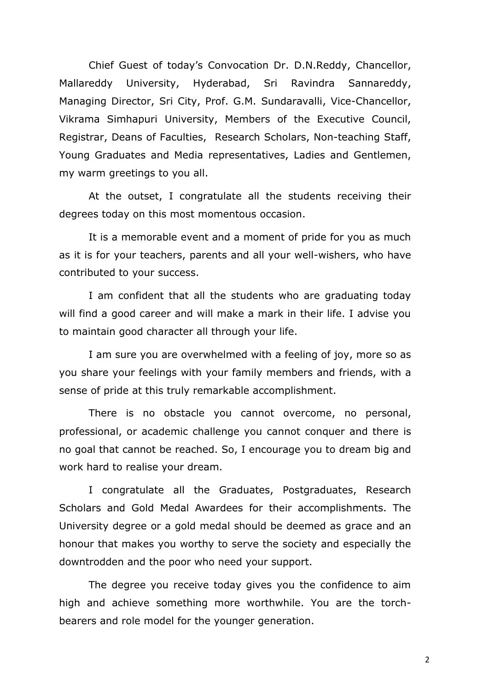Chief Guest of today's Convocation Dr. D.N.Reddy, Chancellor, Mallareddy University, Hyderabad, Sri Ravindra Sannareddy, Managing Director, Sri City, Prof. G.M. Sundaravalli, Vice-Chancellor, Vikrama Simhapuri University, Members of the Executive Council, Registrar, Deans of Faculties, Research Scholars, Non-teaching Staff, Young Graduates and Media representatives, Ladies and Gentlemen, my warm greetings to you all.

At the outset, I congratulate all the students receiving their degrees today on this most momentous occasion.

It is a memorable event and a moment of pride for you as much as it is for your teachers, parents and all your well-wishers, who have contributed to your success.

I am confident that all the students who are graduating today will find a good career and will make a mark in their life. I advise you to maintain good character all through your life.

I am sure you are overwhelmed with a feeling of joy, more so as you share your feelings with your family members and friends, with a sense of pride at this truly remarkable accomplishment.

There is no obstacle you cannot overcome, no personal, professional, or academic challenge you cannot conquer and there is no goal that cannot be reached. So, I encourage you to dream big and work hard to realise your dream.

I congratulate all the Graduates, Postgraduates, Research Scholars and Gold Medal Awardees for their accomplishments. The University degree or a gold medal should be deemed as grace and an honour that makes you worthy to serve the society and especially the downtrodden and the poor who need your support.

The degree you receive today gives you the confidence to aim high and achieve something more worthwhile. You are the torchbearers and role model for the younger generation.

2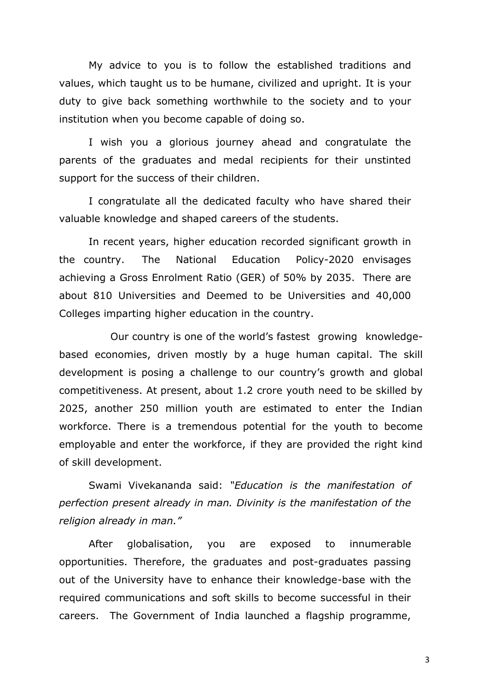My advice to you is to follow the established traditions and values, which taught us to be humane, civilized and upright. It is your duty to give back something worthwhile to the society and to your institution when you become capable of doing so.

I wish you a glorious journey ahead and congratulate the parents of the graduates and medal recipients for their unstinted support for the success of their children.

I congratulate all the dedicated faculty who have shared their valuable knowledge and shaped careers of the students.

In recent years, higher education recorded significant growth in the country. The National Education Policy-2020 envisages achieving a Gross Enrolment Ratio (GER) of 50% by 2035. There are about 810 Universities and Deemed to be Universities and 40,000 Colleges imparting higher education in the country.

 Our country is one of the world's fastest growing knowledgebased economies, driven mostly by a huge human capital. The skill development is posing a challenge to our country's growth and global competitiveness. At present, about 1.2 crore youth need to be skilled by 2025, another 250 million youth are estimated to enter the Indian workforce. There is a tremendous potential for the youth to become employable and enter the workforce, if they are provided the right kind of skill development.

Swami Vivekananda said: *"Education is the manifestation of perfection present already in man. Divinity is the manifestation of the religion already in man."* 

After globalisation, you are exposed to innumerable opportunities. Therefore, the graduates and post-graduates passing out of the University have to enhance their knowledge-base with the required communications and soft skills to become successful in their careers. The Government of India launched a flagship programme,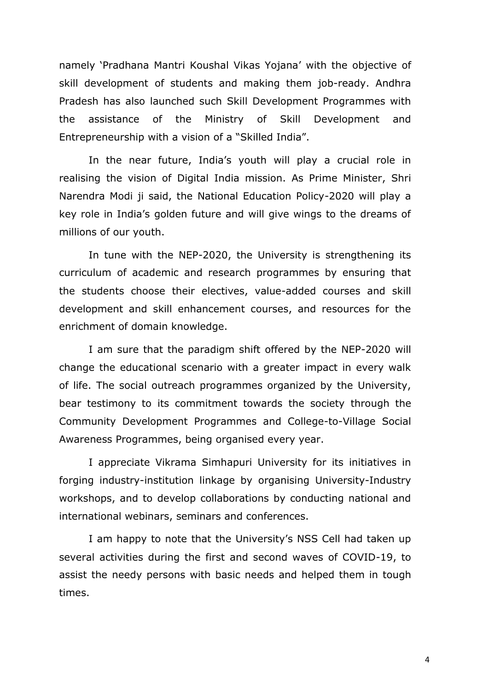namely 'Pradhana Mantri Koushal Vikas Yojana' with the objective of skill development of students and making them job-ready. Andhra Pradesh has also launched such Skill Development Programmes with the assistance of the Ministry of Skill Development and Entrepreneurship with a vision of a "Skilled India".

In the near future, India's youth will play a crucial role in realising the vision of Digital India mission. As Prime Minister, Shri Narendra Modi ji said, the National Education Policy-2020 will play a key role in India's golden future and will give wings to the dreams of millions of our youth.

In tune with the NEP-2020, the University is strengthening its curriculum of academic and research programmes by ensuring that the students choose their electives, value-added courses and skill development and skill enhancement courses, and resources for the enrichment of domain knowledge.

I am sure that the paradigm shift offered by the NEP-2020 will change the educational scenario with a greater impact in every walk of life. The social outreach programmes organized by the University, bear testimony to its commitment towards the society through the Community Development Programmes and College-to-Village Social Awareness Programmes, being organised every year.

I appreciate Vikrama Simhapuri University for its initiatives in forging industry-institution linkage by organising University-Industry workshops, and to develop collaborations by conducting national and international webinars, seminars and conferences.

I am happy to note that the University's NSS Cell had taken up several activities during the first and second waves of COVID-19, to assist the needy persons with basic needs and helped them in tough times.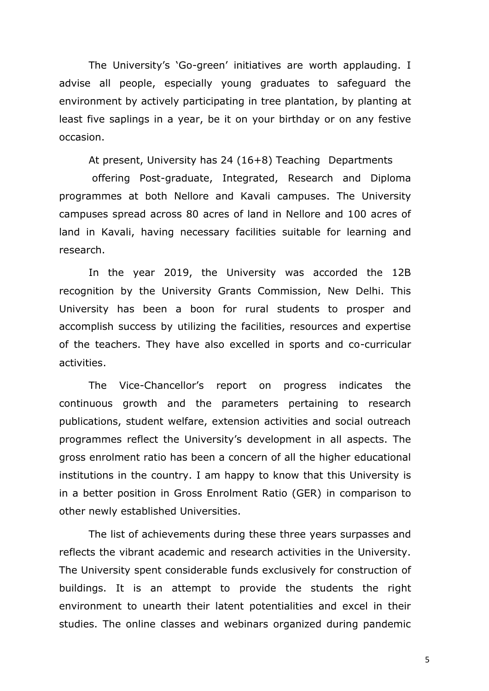The University's 'Go-green' initiatives are worth applauding. I advise all people, especially young graduates to safeguard the environment by actively participating in tree plantation, by planting at least five saplings in a year, be it on your birthday or on any festive occasion.

At present, University has 24 (16+8) Teaching Departments

offering Post-graduate, Integrated, Research and Diploma programmes at both Nellore and Kavali campuses. The University campuses spread across 80 acres of land in Nellore and 100 acres of land in Kavali, having necessary facilities suitable for learning and research.

In the year 2019, the University was accorded the 12B recognition by the University Grants Commission, New Delhi. This University has been a boon for rural students to prosper and accomplish success by utilizing the facilities, resources and expertise of the teachers. They have also excelled in sports and co-curricular activities.

The Vice-Chancellor's report on progress indicates the continuous growth and the parameters pertaining to research publications, student welfare, extension activities and social outreach programmes reflect the University's development in all aspects. The gross enrolment ratio has been a concern of all the higher educational institutions in the country. I am happy to know that this University is in a better position in Gross Enrolment Ratio (GER) in comparison to other newly established Universities.

The list of achievements during these three years surpasses and reflects the vibrant academic and research activities in the University. The University spent considerable funds exclusively for construction of buildings. It is an attempt to provide the students the right environment to unearth their latent potentialities and excel in their studies. The online classes and webinars organized during pandemic

5